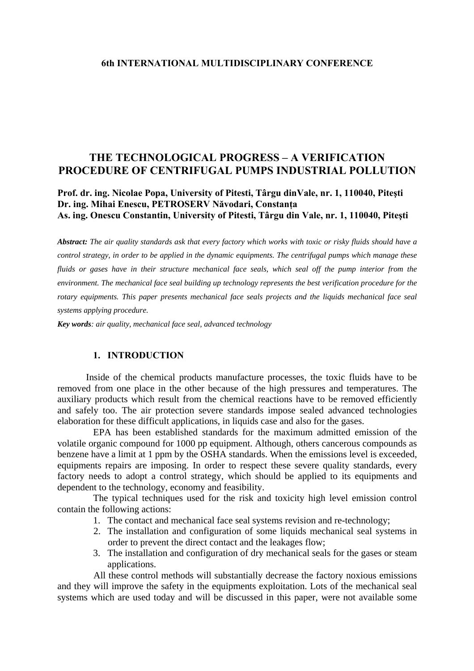# **THE TECHNOLOGICAL PROGRESS – A VERIFICATION PROCEDURE OF CENTRIFUGAL PUMPS INDUSTRIAL POLLUTION**

## **Prof. dr. ing. Nicolae Popa, University of Pitesti, Târgu dinVale, nr. 1, 110040, Piteşti Dr. ing. Mihai Enescu, PETROSERV Năvodari, Constanţa As. ing. Onescu Constantin, University of Pitesti, Târgu din Vale, nr. 1, 110040, Piteşti**

*Abstract: The air quality standards ask that every factory which works with toxic or risky fluids should have a control strategy, in order to be applied in the dynamic equipments. The centrifugal pumps which manage these fluids or gases have in their structure mechanical face seals, which seal off the pump interior from the environment. The mechanical face seal building up technology represents the best verification procedure for the rotary equipments. This paper presents mechanical face seals projects and the liquids mechanical face seal systems applying procedure.* 

*Key words: air quality, mechanical face seal, advanced technology*

#### **1. INTRODUCTION**

Inside of the chemical products manufacture processes, the toxic fluids have to be removed from one place in the other because of the high pressures and temperatures. The auxiliary products which result from the chemical reactions have to be removed efficiently and safely too. The air protection severe standards impose sealed advanced technologies elaboration for these difficult applications, in liquids case and also for the gases.

EPA has been established standards for the maximum admitted emission of the volatile organic compound for 1000 pp equipment. Although, others cancerous compounds as benzene have a limit at 1 ppm by the OSHA standards. When the emissions level is exceeded, equipments repairs are imposing. In order to respect these severe quality standards, every factory needs to adopt a control strategy, which should be applied to its equipments and dependent to the technology, economy and feasibility.

The typical techniques used for the risk and toxicity high level emission control contain the following actions:

- 1. The contact and mechanical face seal systems revision and re-technology;
- 2. The installation and configuration of some liquids mechanical seal systems in order to prevent the direct contact and the leakages flow;
- 3. The installation and configuration of dry mechanical seals for the gases or steam applications.

All these control methods will substantially decrease the factory noxious emissions and they will improve the safety in the equipments exploitation. Lots of the mechanical seal systems which are used today and will be discussed in this paper, were not available some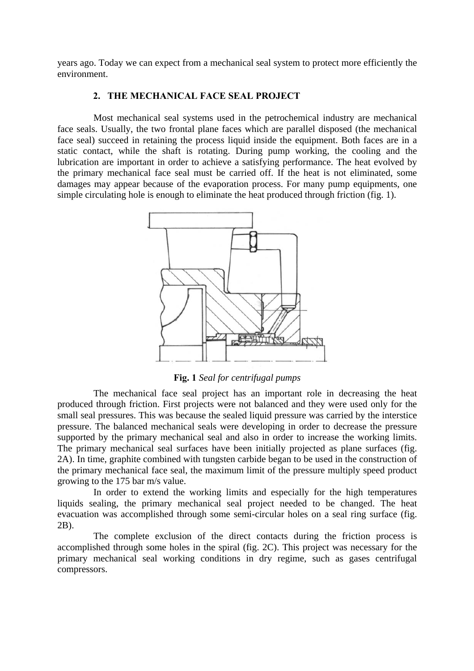years ago. Today we can expect from a mechanical seal system to protect more efficiently the environment.

## **2. THE MECHANICAL FACE SEAL PROJECT**

Most mechanical seal systems used in the petrochemical industry are mechanical face seals. Usually, the two frontal plane faces which are parallel disposed (the mechanical face seal) succeed in retaining the process liquid inside the equipment. Both faces are in a static contact, while the shaft is rotating. During pump working, the cooling and the lubrication are important in order to achieve a satisfying performance. The heat evolved by the primary mechanical face seal must be carried off. If the heat is not eliminated, some damages may appear because of the evaporation process. For many pump equipments, one simple circulating hole is enough to eliminate the heat produced through friction (fig. 1).



**Fig. 1** *Seal for centrifugal pumps* 

The mechanical face seal project has an important role in decreasing the heat produced through friction. First projects were not balanced and they were used only for the small seal pressures. This was because the sealed liquid pressure was carried by the interstice pressure. The balanced mechanical seals were developing in order to decrease the pressure supported by the primary mechanical seal and also in order to increase the working limits. The primary mechanical seal surfaces have been initially projected as plane surfaces (fig. 2A). In time, graphite combined with tungsten carbide began to be used in the construction of the primary mechanical face seal, the maximum limit of the pressure multiply speed product growing to the 175 bar m/s value.

In order to extend the working limits and especially for the high temperatures liquids sealing, the primary mechanical seal project needed to be changed. The heat evacuation was accomplished through some semi-circular holes on a seal ring surface (fig. 2B).

The complete exclusion of the direct contacts during the friction process is accomplished through some holes in the spiral (fig. 2C). This project was necessary for the primary mechanical seal working conditions in dry regime, such as gases centrifugal compressors.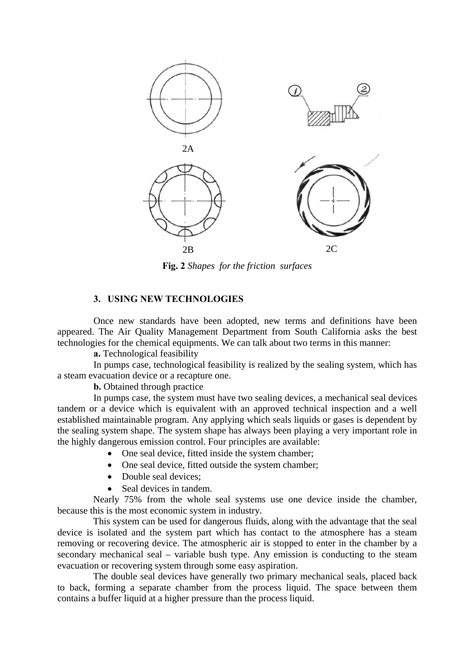

**Fig. 2** *Shapes for the friction surfaces* 

#### **3. USING NEW TECHNOLOGIES**

Once new standards have been adopted, new terms and definitions have been appeared. The Air Quality Management Department from South California asks the best technologies for the chemical equipments. We can talk about two terms in this manner:

**a.** Technological feasibility

In pumps case, technological feasibility is realized by the sealing system, which has a steam evacuation device or a recapture one.

**b.** Obtained through practice

In pumps case, the system must have two sealing devices, a mechanical seal devices tandem or a device which is equivalent with an approved technical inspection and a well established maintainable program. Any applying which seals liquids or gases is dependent by the sealing system shape. The system shape has always been playing a very important role in the highly dangerous emission control. Four principles are available:

- One seal device, fitted inside the system chamber;
- One seal device, fitted outside the system chamber;
- Double seal devices:
- Seal devices in tandem.

Nearly 75% from the whole seal systems use one device inside the chamber, because this is the most economic system in industry.

This system can be used for dangerous fluids, along with the advantage that the seal device is isolated and the system part which has contact to the atmosphere has a steam removing or recovering device. The atmospheric air is stopped to enter in the chamber by a secondary mechanical seal – variable bush type. Any emission is conducting to the steam evacuation or recovering system through some easy aspiration.

The double seal devices have generally two primary mechanical seals, placed back to back, forming a separate chamber from the process liquid. The space between them contains a buffer liquid at a higher pressure than the process liquid.